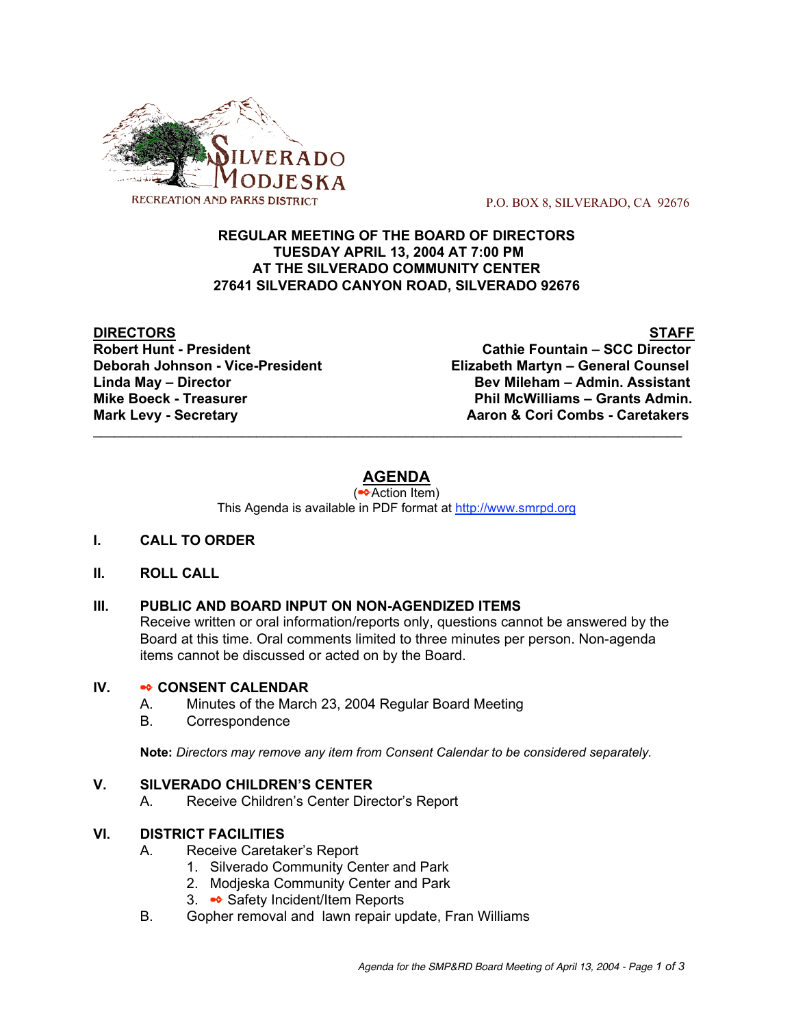

P.O. BOX 8, SILVERADO, CA 92676

#### **REGULAR MEETING OF THE BOARD OF DIRECTORS TUESDAY APRIL 13, 2004 AT 7:00 PM AT THE SILVERADO COMMUNITY CENTER 27641 SILVERADO CANYON ROAD, SILVERADO 92676**

**DIRECTORS** STAFF **Robert Hunt - President Cathie Fountain – SCC Director**

**Deborah Johnson - Vice-President Elizabeth Martyn – General Counsel Linda May – Director Bev Mileham – Admin. Assistant Mike Boeck - Treasurer Phil McWilliams – Grants Admin. Mark Levy - Secretary <b>Aaron & Cori Combs** - Caretakers **Mark** Levy - Secretary

# **AGENDA**

 $\mathcal{L}_\text{max}$  , and the contribution of the contribution of the contribution of the contribution of the contribution of the contribution of the contribution of the contribution of the contribution of the contribution of t

(✒Action Item) This Agenda is available in PDF format at http://www.smrpd.org

# **I. CALL TO ORDER**

# **II. ROLL CALL**

# **III. PUBLIC AND BOARD INPUT ON NON-AGENDIZED ITEMS**

Receive written or oral information/reports only, questions cannot be answered by the Board at this time. Oral comments limited to three minutes per person. Non-agenda items cannot be discussed or acted on by the Board.

#### **IV.** ✒ **CONSENT CALENDAR**

- A. Minutes of the March 23, 2004 Regular Board Meeting
- B. Correspondence

**Note:** *Directors may remove any item from Consent Calendar to be considered separately.*

# **V. SILVERADO CHILDREN'S CENTER**

A. Receive Children's Center Director's Report

# **VI. DISTRICT FACILITIES**

- A. Receive Caretaker's Report
	- 1. Silverado Community Center and Park
	- 2. Modjeska Community Center and Park
	- 3. ✒ Safety Incident/Item Reports
- B. Gopher removal and lawn repair update, Fran Williams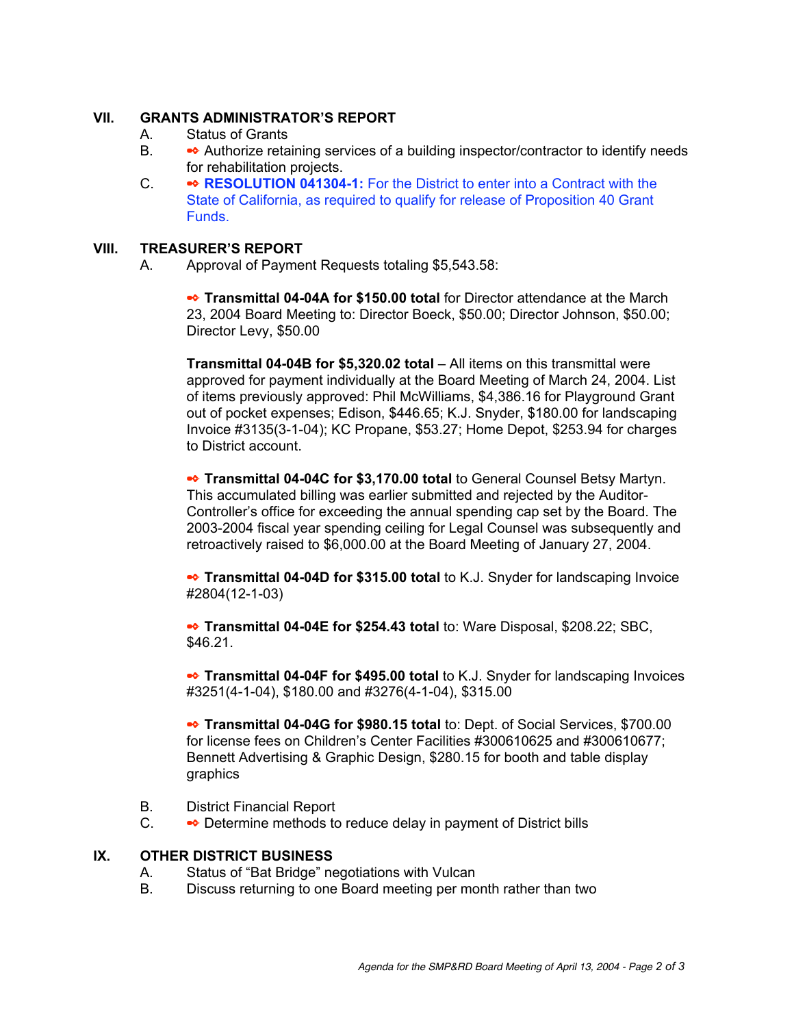#### **VII. GRANTS ADMINISTRATOR'S REPORT**

- A. Status of Grants
- B. ◆ Authorize retaining services of a building inspector/contractor to identify needs for rehabilitation projects.
- C. ✒ **RESOLUTION 041304-1:** For the District to enter into a Contract with the State of California, as required to qualify for release of Proposition 40 Grant Funds.

#### **VIII. TREASURER'S REPORT**

A. Approval of Payment Requests totaling \$5,543.58:

✒ **Transmittal 04-04A for \$150.00 total** for Director attendance at the March 23, 2004 Board Meeting to: Director Boeck, \$50.00; Director Johnson, \$50.00; Director Levy, \$50.00

**Transmittal 04-04B for \$5,320.02 total** – All items on this transmittal were approved for payment individually at the Board Meeting of March 24, 2004. List of items previously approved: Phil McWilliams, \$4,386.16 for Playground Grant out of pocket expenses; Edison, \$446.65; K.J. Snyder, \$180.00 for landscaping Invoice #3135(3-1-04); KC Propane, \$53.27; Home Depot, \$253.94 for charges to District account.

✒ **Transmittal 04-04C for \$3,170.00 total** to General Counsel Betsy Martyn. This accumulated billing was earlier submitted and rejected by the Auditor-Controller's office for exceeding the annual spending cap set by the Board. The 2003-2004 fiscal year spending ceiling for Legal Counsel was subsequently and retroactively raised to \$6,000.00 at the Board Meeting of January 27, 2004.

✒ **Transmittal 04-04D for \$315.00 total** to K.J. Snyder for landscaping Invoice #2804(12-1-03)

✒ **Transmittal 04-04E for \$254.43 total** to: Ware Disposal, \$208.22; SBC, \$46.21.

✒ **Transmittal 04-04F for \$495.00 total** to K.J. Snyder for landscaping Invoices #3251(4-1-04), \$180.00 and #3276(4-1-04), \$315.00

✒ **Transmittal 04-04G for \$980.15 total** to: Dept. of Social Services, \$700.00 for license fees on Children's Center Facilities #300610625 and #300610677; Bennett Advertising & Graphic Design, \$280.15 for booth and table display graphics

- B. District Financial Report
- C. Determine methods to reduce delay in payment of District bills

# **IX. OTHER DISTRICT BUSINESS**

- A. Status of "Bat Bridge" negotiations with Vulcan
- B. Discuss returning to one Board meeting per month rather than two